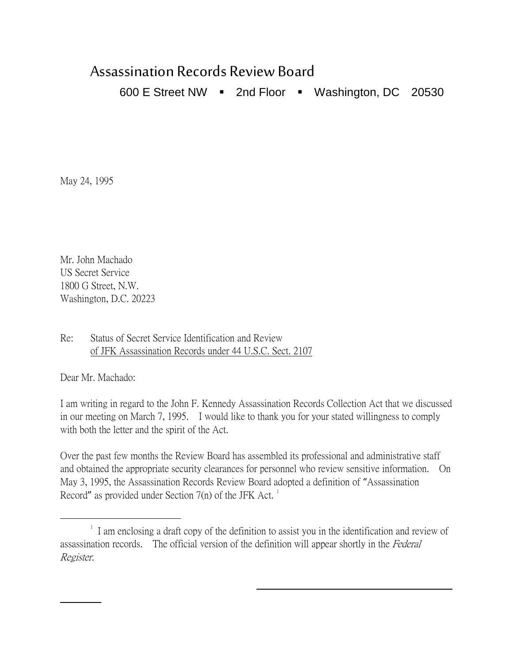## Assassination Records Review Board

600 E Street NW  $\blacksquare$  2nd Floor  $\blacksquare$  Washington, DC 20530

May 24, 1995

Mr. John Machado US Secret Service 1800 G Street, N.W. Washington, D.C. 20223

Re: Status of Secret Service Identification and Review of JFK Assassination Records under 44 U.S.C. Sect. 2107

Dear Mr. Machado:

 $\overline{a}$ 

I am writing in regard to the John F. Kennedy Assassination Records Collection Act that we discussed in our meeting on March 7, 1995. I would like to thank you for your stated willingness to comply with both the letter and the spirit of the Act.

Over the past few months the Review Board has assembled its professional and administrative staff and obtained the appropriate security clearances for personnel who review sensitive information. On May 3, 1995, the Assassination Records Review Board adopted a definition of "Assassination Record" as provided under Section  $7(n)$  of the JFK Act.<sup>[1](#page-0-0)</sup>

 $\overline{a}$ 

<span id="page-0-0"></span> $\overline{\phantom{a}}$  $\frac{1}{1}$  I am enclosing a draft copy of the definition to assist you in the identification and review of assassination records. The official version of the definition will appear shortly in the Federal Register.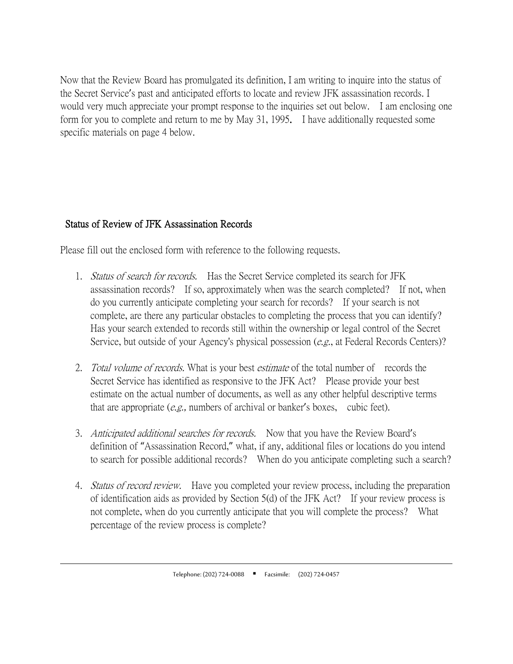Now that the Review Board has promulgated its definition, I am writing to inquire into the status of the Secret Service's past and anticipated efforts to locate and review JFK assassination records. I would very much appreciate your prompt response to the inquiries set out below. I am enclosing one form for you to complete and return to me by May 31, 1995. I have additionally requested some specific materials on page 4 below.

## Status of Review of JFK Assassination Records

 $\overline{a}$ 

Please fill out the enclosed form with reference to the following requests.

- 1. Status of search for records. Has the Secret Service completed its search for JFK assassination records? If so, approximately when was the search completed? If not, when do you currently anticipate completing your search for records? If your search is not complete, are there any particular obstacles to completing the process that you can identify? Has your search extended to records still within the ownership or legal control of the Secret Service, but outside of your Agency's physical possession (e.g., at Federal Records Centers)?
- 2. Total volume of records. What is your best estimate of the total number of records the Secret Service has identified as responsive to the JFK Act? Please provide your best estimate on the actual number of documents, as well as any other helpful descriptive terms that are appropriate  $(e.g.,$  numbers of archival or banker's boxes, cubic feet).
- 3. Anticipated additional searches for records. Now that you have the Review Board's definition of "Assassination Record," what, if any, additional files or locations do you intend to search for possible additional records? When do you anticipate completing such a search?
- 4. *Status of record review.* Have you completed your review process, including the preparation of identification aids as provided by Section 5(d) of the JFK Act? If your review process is not complete, when do you currently anticipate that you will complete the process? What percentage of the review process is complete?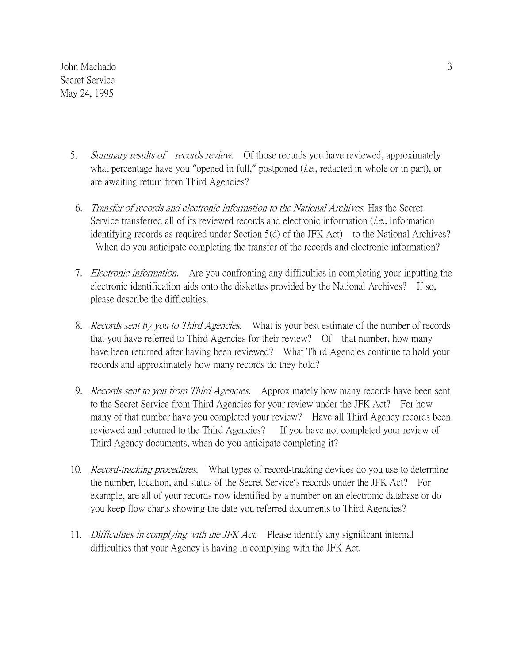John Machado Secret Service May 24, 1995

- 5. Summary results of records review. Of those records you have reviewed, approximately what percentage have you "opened in full," postponed (*i.e.*, redacted in whole or in part), or are awaiting return from Third Agencies?
- 6. Transfer of records and electronic information to the National Archives. Has the Secret Service transferred all of its reviewed records and electronic information *(i.e.*, information identifying records as required under Section 5(d) of the JFK Act) to the National Archives? When do you anticipate completing the transfer of the records and electronic information?
- 7. Electronic information. Are you confronting any difficulties in completing your inputting the electronic identification aids onto the diskettes provided by the National Archives? If so, please describe the difficulties.
- 8. *Records sent by you to Third Agencies.* What is your best estimate of the number of records that you have referred to Third Agencies for their review? Of that number, how many have been returned after having been reviewed? What Third Agencies continue to hold your records and approximately how many records do they hold?
- 9. *Records sent to you from Third Agencies.* Approximately how many records have been sent to the Secret Service from Third Agencies for your review under the JFK Act? For how many of that number have you completed your review? Have all Third Agency records been reviewed and returned to the Third Agencies? If you have not completed your review of Third Agency documents, when do you anticipate completing it?
- 10. *Record-tracking procedures.* What types of record-tracking devices do you use to determine the number, location, and status of the Secret Service's records under the JFK Act? For example, are all of your records now identified by a number on an electronic database or do you keep flow charts showing the date you referred documents to Third Agencies?
- 11. Difficulties in complying with the JFK Act. Please identify any significant internal difficulties that your Agency is having in complying with the JFK Act.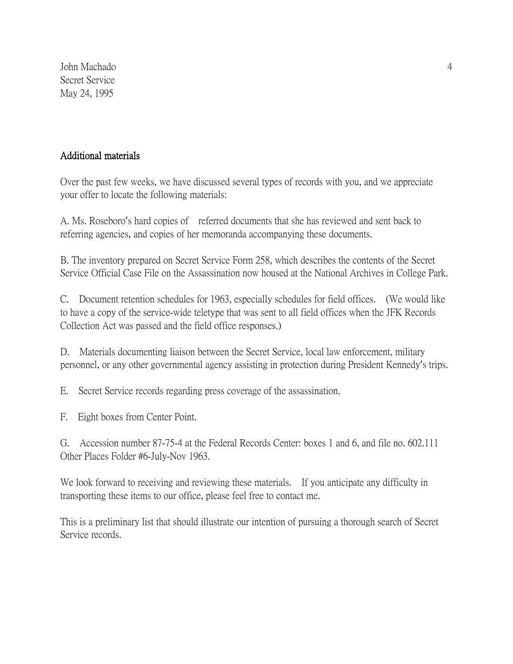John Machado Secret Service May 24, 1995

## Additional materials

Over the past few weeks, we have discussed several types of records with you, and we appreciate your offer to locate the following materials:

A. Ms. Roseboro's hard copies of referred documents that she has reviewed and sent back to referring agencies, and copies of her memoranda accompanying these documents.

B. The inventory prepared on Secret Service Form 258, which describes the contents of the Secret Service Official Case File on the Assassination now housed at the National Archives in College Park.

C. Document retention schedules for 1963, especially schedules for field offices. (We would like to have a copy of the service-wide teletype that was sent to all field offices when the JFK Records Collection Act was passed and the field office responses.)

D. Materials documenting liaison between the Secret Service, local law enforcement, military personnel, or any other governmental agency assisting in protection during President Kennedy's trips.

E. Secret Service records regarding press coverage of the assassination.

F. Eight boxes from Center Point.

G. Accession number 87-75-4 at the Federal Records Center: boxes 1 and 6, and file no. 602.111 Other Places Folder #6-July-Nov 1963.

We look forward to receiving and reviewing these materials. If you anticipate any difficulty in transporting these items to our office, please feel free to contact me.

This is a preliminary list that should illustrate our intention of pursuing a thorough search of Secret Service records.